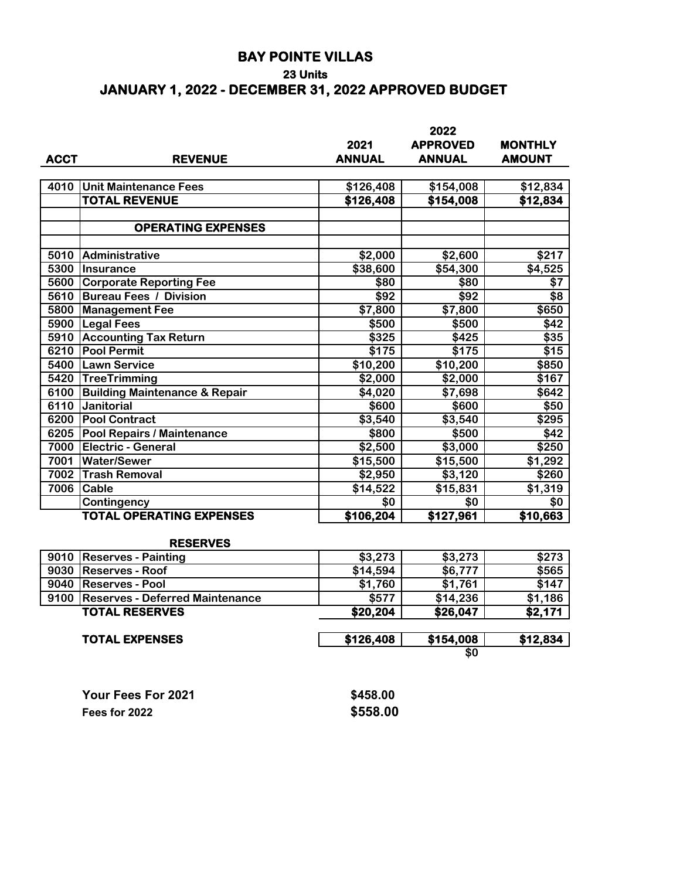## **BAY POINTE VILLAS**

### **23 Units**

# **JANUARY 1, 2022 - DECEMBER 31, 2022 APPROVED BUDGET**

|             |                                          | 2022          |                 |                |  |  |
|-------------|------------------------------------------|---------------|-----------------|----------------|--|--|
|             |                                          | 2021          | <b>APPROVED</b> | <b>MONTHLY</b> |  |  |
| <b>ACCT</b> | <b>REVENUE</b>                           | <b>ANNUAL</b> | <b>ANNUAL</b>   | <b>AMOUNT</b>  |  |  |
|             |                                          |               |                 |                |  |  |
| 4010        | <b>Unit Maintenance Fees</b>             | \$126,408     | \$154,008       | \$12,834       |  |  |
|             | <b>TOTAL REVENUE</b>                     | \$126,408     | \$154,008       | \$12,834       |  |  |
|             |                                          |               |                 |                |  |  |
|             | <b>OPERATING EXPENSES</b>                |               |                 |                |  |  |
|             |                                          |               |                 |                |  |  |
| 5010        | Administrative                           | \$2,000       | \$2,600         | \$217          |  |  |
| 5300        | Insurance                                | \$38,600      | \$54,300        | \$4,525        |  |  |
| 5600        | <b>Corporate Reporting Fee</b>           | \$80          | \$80            | \$7            |  |  |
| 5610        | <b>Bureau Fees / Division</b>            | \$92          | \$92            | \$8            |  |  |
| 5800        | <b>Management Fee</b>                    | \$7,800       | \$7,800         | \$650          |  |  |
| 5900        | <b>Legal Fees</b>                        | \$500         | \$500           | \$42           |  |  |
| 5910        | <b>Accounting Tax Return</b>             | \$325         | \$425           | \$35           |  |  |
| 6210        | <b>Pool Permit</b>                       | \$175         | \$175           | \$15           |  |  |
| 5400        | Lawn Service                             | \$10,200      | \$10,200        | \$850          |  |  |
| 5420        | TreeTrimming                             | \$2,000       | \$2,000         | \$167          |  |  |
| 6100        | <b>Building Maintenance &amp; Repair</b> | \$4,020       | \$7,698         | \$642          |  |  |
| 6110        | <b>Janitorial</b>                        | \$600         | \$600           | \$50           |  |  |
| 6200        | <b>Pool Contract</b>                     | \$3,540       | \$3,540         | \$295          |  |  |
| 6205        | Pool Repairs / Maintenance               | \$800         | \$500           | \$42           |  |  |
| 7000        | <b>Electric - General</b>                | \$2,500       | \$3,000         | \$250          |  |  |
| 7001        | <b>Water/Sewer</b>                       | \$15,500      | \$15,500        | \$1,292        |  |  |
| 7002        | <b>Trash Removal</b>                     | \$2,950       | \$3,120         | \$260          |  |  |
| 7006        | <b>Cable</b>                             | \$14,522      | \$15,831        | \$1,319        |  |  |
|             | Contingency                              | \$0           | \$0             | \$0            |  |  |
|             | <b>TOTAL OPERATING EXPENSES</b>          | \$106,204     | \$127,961       | \$10,663       |  |  |
|             |                                          |               |                 |                |  |  |
|             | <b>RESERVES</b>                          |               |                 |                |  |  |

#### **RESERVES**

| \$3,273   | \$3,273   | \$273    |  |
|-----------|-----------|----------|--|
| \$14,594  | \$6,777   | \$565    |  |
| \$1,760   | \$1,761   | \$147    |  |
| \$577     | \$14,236  | \$1,186  |  |
| \$20,204  | \$26,047  | \$2,171  |  |
| \$126,408 | \$154,008 | \$12,834 |  |
| \$0       |           |          |  |
|           |           |          |  |

| Your Fees For 2021 | \$458.00 |
|--------------------|----------|
| Fees for 2022      | \$558.00 |